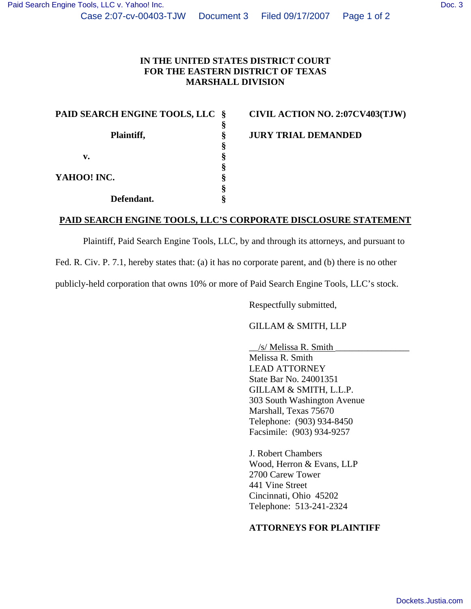## **IN THE UNITED STATES DISTRICT COURT FOR THE EASTERN DISTRICT OF TEXAS MARSHALL DIVISION**

| PAID SEARCH ENGINE TOOLS, LLC | - Š |
|-------------------------------|-----|
|                               |     |
| Plaintiff,                    | ş   |
|                               | ş   |
| v.                            | §   |
|                               | §   |
| YAHOO! INC.                   | ş   |
|                               | ş   |
| Defendant.                    |     |

**CIVIL ACTION NO. 2:07CV403(TJW)** 

**JURY TRIAL DEMANDED** 

## **PAID SEARCH ENGINE TOOLS, LLC'S CORPORATE DISCLOSURE STATEMENT**

Plaintiff, Paid Search Engine Tools, LLC, by and through its attorneys, and pursuant to

Fed. R. Civ. P. 7.1, hereby states that: (a) it has no corporate parent, and (b) there is no other

publicly-held corporation that owns 10% or more of Paid Search Engine Tools, LLC's stock.

Respectfully submitted,

GILLAM & SMITH, LLP

 \_\_/s/ Melissa R. Smith \_\_\_\_\_\_\_\_\_\_\_\_\_\_\_\_ Melissa R. Smith LEAD ATTORNEY State Bar No. 24001351 GILLAM & SMITH, L.L.P. 303 South Washington Avenue Marshall, Texas 75670 Telephone: (903) 934-8450 Facsimile: (903) 934-9257

J. Robert Chambers Wood, Herron & Evans, LLP 2700 Carew Tower 441 Vine Street Cincinnati, Ohio 45202 Telephone: 513-241-2324

## **ATTORNEYS FOR PLAINTIFF**